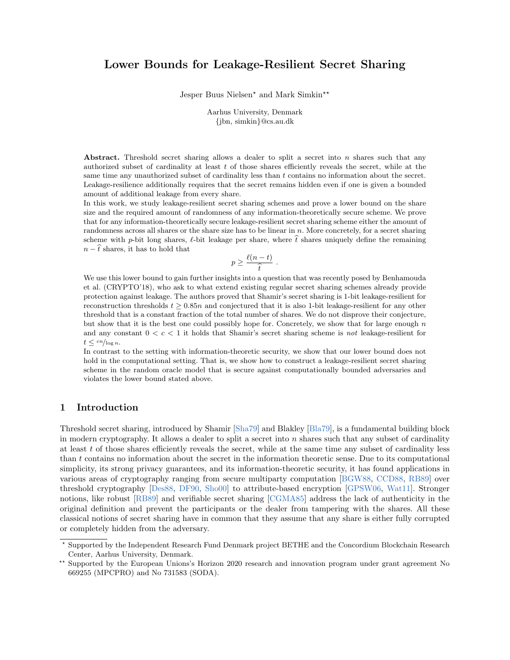# Lower Bounds for Leakage-Resilient Secret Sharing

Jesper Buus Nielsen<sup>\*</sup> and Mark Simkin<sup>\*\*</sup>

Aarhus University, Denmark {jbn, simkin}@cs.au.dk

Abstract. Threshold secret sharing allows a dealer to split a secret into  $n$  shares such that any authorized subset of cardinality at least t of those shares efficiently reveals the secret, while at the same time any unauthorized subset of cardinality less than t contains no information about the secret. Leakage-resilience additionally requires that the secret remains hidden even if one is given a bounded amount of additional leakage from every share.

In this work, we study leakage-resilient secret sharing schemes and prove a lower bound on the share size and the required amount of randomness of any information-theoretically secure scheme. We prove that for any information-theoretically secure leakage-resilient secret sharing scheme either the amount of randomness across all shares or the share size has to be linear in  $n$ . More concretely, for a secret sharing scheme with p-bit long shares,  $\ell$ -bit leakage per share, where  $\hat{t}$  shares uniquely define the remaining  $n - \hat{t}$  shares, it has to hold that

$$
p \geq \frac{\ell(n-t)}{\widehat{t}} \ .
$$

 $\begin{array}{c} t = t \\ t \end{array}$ <br>We use this lower bound to gain further insights into a question that was recently posed by Benhamouda et al. (CRYPTO'18), who ask to what extend existing regular secret sharing schemes already provide protection against leakage. The authors proved that Shamir's secret sharing is 1-bit leakage-resilient for reconstruction thresholds  $t \geq 0.85n$  and conjectured that it is also 1-bit leakage-resilient for any other threshold that is a constant fraction of the total number of shares. We do not disprove their conjecture, but show that it is the best one could possibly hope for. Concretely, we show that for large enough  $n$ and any constant  $0 < c < 1$  it holds that Shamir's secret sharing scheme is *not* leakage-resilient for  $t \leq \frac{cn}{\log n}$ .

In contrast to the setting with information-theoretic security, we show that our lower bound does not hold in the computational setting. That is, we show how to construct a leakage-resilient secret sharing scheme in the random oracle model that is secure against computationally bounded adversaries and violates the lower bound stated above.

## 1 Introduction

Threshold secret sharing, introduced by Shamir [\[Sha79\]](#page-16-0) and Blakley [\[Bla79\]](#page-15-0), is a fundamental building block in modern cryptography. It allows a dealer to split a secret into  $n$  shares such that any subset of cardinality at least  $t$  of those shares efficiently reveals the secret, while at the same time any subset of cardinality less than t contains no information about the secret in the information theoretic sense. Due to its computational simplicity, its strong privacy guarantees, and its information-theoretic security, it has found applications in various areas of cryptography ranging from secure multiparty computation [\[BGW88,](#page-15-1) [CCD88,](#page-15-2) [RB89\]](#page-16-1) over threshold cryptography [\[Des88,](#page-15-3) [DF90,](#page-15-4) [Sho00\]](#page-16-2) to attribute-based encryption [\[GPSW06,](#page-16-3) [Wat11\]](#page-16-4). Stronger notions, like robust [\[RB89\]](#page-16-1) and verifiable secret sharing [\[CGMA85\]](#page-15-5) address the lack of authenticity in the original definition and prevent the participants or the dealer from tampering with the shares. All these classical notions of secret sharing have in common that they assume that any share is either fully corrupted or completely hidden from the adversary.

<sup>?</sup> Supported by the Independent Research Fund Denmark project BETHE and the Concordium Blockchain Research Center, Aarhus University, Denmark.

<sup>\*\*</sup> Supported by the European Unions's Horizon 2020 research and innovation program under grant agreement No 669255 (MPCPRO) and No 731583 (SODA).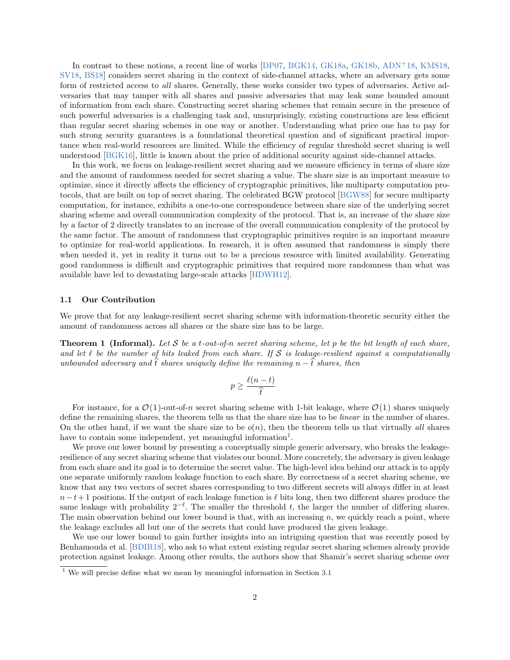In contrast to these notions, a recent line of works [\[DP07,](#page-16-5) [BGK14,](#page-15-6) [GK18a,](#page-16-6) [GK18b,](#page-16-7) [ADN](#page-15-7)<sup>+</sup>18, [KMS18,](#page-16-8) [SV18,](#page-16-9) [BS18\]](#page-15-8) considers secret sharing in the context of side-channel attacks, where an adversary gets some form of restricted access to all shares. Generally, these works consider two types of adversaries. Active adversaries that may tamper with all shares and passive adversaries that may leak some bounded amount of information from each share. Constructing secret sharing schemes that remain secure in the presence of such powerful adversaries is a challenging task and, unsurprisingly, existing constructions are less efficient than regular secret sharing schemes in one way or another. Understanding what price one has to pay for such strong security guarantees is a foundational theoretical question and of significant practical importance when real-world resources are limited. While the efficiency of regular threshold secret sharing is well understood [\[BGK16\]](#page-15-9), little is known about the price of additional security against side-channel attacks.

In this work, we focus on leakage-resilient secret sharing and we measure efficiency in terms of share size and the amount of randomness needed for secret sharing a value. The share size is an important measure to optimize, since it directly affects the efficiency of cryptographic primitives, like multiparty computation protocols, that are built on top of secret sharing. The celebrated BGW protocol [\[BGW88\]](#page-15-1) for secure multiparty computation, for instance, exhibits a one-to-one correspondence between share size of the underlying secret sharing scheme and overall communication complexity of the protocol. That is, an increase of the share size by a factor of 2 directly translates to an increase of the overall communication complexity of the protocol by the same factor. The amount of randomness that cryptographic primitives require is an important measure to optimize for real-world applications. In research, it is often assumed that randomness is simply there when needed it, yet in reality it turns out to be a precious resource with limited availability. Generating good randomness is difficult and cryptographic primitives that required more randomness than what was available have led to devastating large-scale attacks [\[HDWH12\]](#page-16-10).

#### 1.1 Our Contribution

We prove that for any leakage-resilient secret sharing scheme with information-theoretic security either the amount of randomness across all shares or the share size has to be large.

**Theorem 1 (Informal).** Let S be a t-out-of-n secret sharing scheme, let p be the bit length of each share, and let  $\ell$  be the number of bits leaked from each share. If S is leakage-resilient against a computationally unbounded adversary and  $\hat{t}$  shares uniquely define the remaining n  $-\hat{t}$  shares, then

$$
p \ge \frac{\ell(n-t)}{\widehat{t}}
$$

For instance, for a  $\mathcal{O}(1)$ -out-of-n secret sharing scheme with 1-bit leakage, where  $\mathcal{O}(1)$  shares uniquely define the remaining shares, the theorem tells us that the share size has to be linear in the number of shares. On the other hand, if we want the share size to be  $o(n)$ , then the theorem tells us that virtually all shares have to contain some independent, yet meaningful information<sup>[1](#page-1-0)</sup>.

We prove our lower bound by presenting a conceptually simple generic adversary, who breaks the leakageresilience of any secret sharing scheme that violates our bound. More concretely, the adversary is given leakage from each share and its goal is to determine the secret value. The high-level idea behind our attack is to apply one separate uniformly random leakage function to each share. By correctness of a secret sharing scheme, we know that any two vectors of secret shares corresponding to two different secrets will always differ in at least  $n-t+1$  positions. If the output of each leakage function is  $\ell$  bits long, then two different shares produce the same leakage with probability  $2^{-\ell}$ . The smaller the threshold t, the larger the number of differing shares. The main observation behind our lower bound is that, with an increasing  $n$ , we quickly reach a point, where the leakage excludes all but one of the secrets that could have produced the given leakage.

We use our lower bound to gain further insights into an intriguing question that was recently posed by Benhamouda et al. [\[BDIR18\]](#page-15-10), who ask to what extent existing regular secret sharing schemes already provide protection against leakage. Among other results, the authors show that Shamir's secret sharing scheme over

<span id="page-1-0"></span> $1$  We will precise define what we mean by meaningful information in Section [3.1](#page-7-0)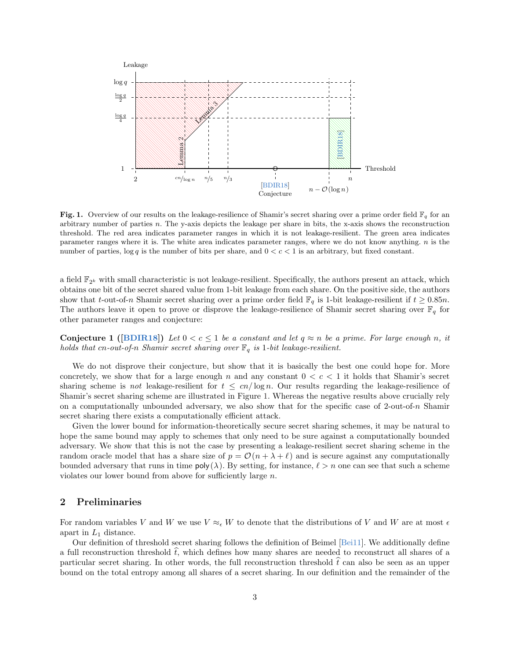

<span id="page-2-0"></span>Fig. 1. Overview of our results on the leakage-resilience of Shamir's secret sharing over a prime order field  $\mathbb{F}_q$  for an arbitrary number of parties  $n$ . The y-axis depicts the leakage per share in bits, the x-axis shows the reconstruction threshold. The red area indicates parameter ranges in which it is not leakage-resilient. The green area indicates parameter ranges where it is. The white area indicates parameter ranges, where we do not know anything.  $n$  is the number of parties,  $\log q$  is the number of bits per share, and  $0 < c < 1$  is an arbitrary, but fixed constant.

a field  $\mathbb{F}_{2^k}$  with small characteristic is not leakage-resilient. Specifically, the authors present an attack, which obtains one bit of the secret shared value from 1-bit leakage from each share. On the positive side, the authors show that t-out-of-n Shamir secret sharing over a prime order field  $\mathbb{F}_q$  is 1-bit leakage-resilient if  $t \geq 0.85n$ . The authors leave it open to prove or disprove the leakage-resilience of Shamir secret sharing over  $\mathbb{F}_q$  for other parameter ranges and conjecture:

<span id="page-2-1"></span>**Conjecture 1** ([\[BDIR18\]](#page-15-10)) Let  $0 < c \le 1$  be a constant and let  $q \approx n$  be a prime. For large enough n, it holds that cn-out-of-n Shamir secret sharing over  $\mathbb{F}_q$  is 1-bit leakage-resilient.

We do not disprove their conjecture, but show that it is basically the best one could hope for. More concretely, we show that for a large enough n and any constant  $0 < c < 1$  it holds that Shamir's secret sharing scheme is not leakage-resilient for  $t \leq cn/\log n$ . Our results regarding the leakage-resilience of Shamir's secret sharing scheme are illustrated in Figure [1.](#page-2-0) Whereas the negative results above crucially rely on a computationally unbounded adversary, we also show that for the specific case of  $2$ -out-of-n Shamir secret sharing there exists a computationally efficient attack.

Given the lower bound for information-theoretically secure secret sharing schemes, it may be natural to hope the same bound may apply to schemes that only need to be sure against a computationally bounded adversary. We show that this is not the case by presenting a leakage-resilient secret sharing scheme in the random oracle model that has a share size of  $p = \mathcal{O}(n + \lambda + \ell)$  and is secure against any computationally bounded adversary that runs in time  $poly(\lambda)$ . By setting, for instance,  $\ell > n$  one can see that such a scheme violates our lower bound from above for sufficiently large n.

## 2 Preliminaries

For random variables V and W we use  $V \approx_{\epsilon} W$  to denote that the distributions of V and W are at most  $\epsilon$ apart in  $L_1$  distance.

Our definition of threshold secret sharing follows the definition of Beimel [\[Bei11\]](#page-15-11). We additionally define a full reconstruction threshold  $\hat{t}$ , which defines how many shares are needed to reconstruct all shares of a particular secret sharing. In other words, the full reconstruction threshold  $\hat{t}$  can also be seen as an upper bound on the total entropy among all shares of a secret sharing. In our definition and the remainder of the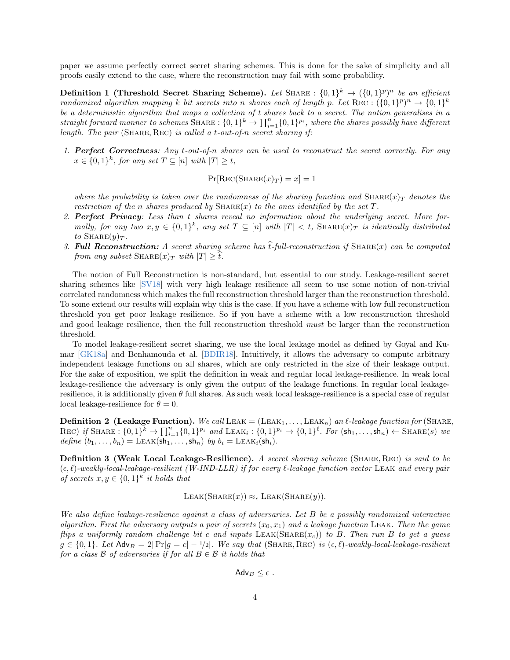paper we assume perfectly correct secret sharing schemes. This is done for the sake of simplicity and all proofs easily extend to the case, where the reconstruction may fail with some probability.

Definition 1 (Threshold Secret Sharing Scheme). Let SHARE :  $\{0,1\}^k \rightarrow (\{0,1\}^p)^n$  be an efficient randomized algorithm mapping k bit secrets into n shares each of length p. Let REC :  $(\{0,1\}^p)^n \rightarrow \{0,1\}^k$ be a deterministic algorithm that maps a collection of t shares back to a secret. The notion generalises in a straight forward manner to schemes SHARE :  $\{0,1\}^k \to \prod_{i=1}^n \{0,1\}^{p_i}$ , where the shares possibly have different length. The pair (SHARE, REC) is called a t-out-of-n secret sharing if:

1. Perfect Correctness: Any t-out-of-n shares can be used to reconstruct the secret correctly. For any  $x \in \{0,1\}^k$ , for any set  $T \subseteq [n]$  with  $|T| \ge t$ ,

$$
Pr[Rec(ShARE(x)_{T}) = x] = 1
$$

where the probability is taken over the randomness of the sharing function and  $\text{SHARE}(x)$  denotes the restriction of the n shares produced by  $\text{SHARE}(x)$  to the ones identified by the set T.

- 2. Perfect Privacy: Less than t shares reveal no information about the underlying secret. More formally, for any two  $x, y \in \{0,1\}^k$ , any set  $T \subseteq [n]$  with  $|T| < t$ , SHARE $(x)_T$  is identically distributed to  $\text{SHARE}(y)_{T}$ .
- 3. Full Reconstruction: A secret sharing scheme has  $\hat{t}$ -full-reconstruction if SHARE(x) can be computed from any subset  $\text{SHARE}(x)_T$  with  $|T| \geq t$ .

The notion of Full Reconstruction is non-standard, but essential to our study. Leakage-resilient secret sharing schemes like [\[SV18\]](#page-16-9) with very high leakage resilience all seem to use some notion of non-trivial correlated randomness which makes the full reconstruction threshold larger than the reconstruction threshold. To some extend our results will explain why this is the case. If you have a scheme with low full reconstruction threshold you get poor leakage resilience. So if you have a scheme with a low reconstruction threshold and good leakage resilience, then the full reconstruction threshold must be larger than the reconstruction threshold.

To model leakage-resilient secret sharing, we use the local leakage model as defined by Goyal and Kumar [\[GK18a\]](#page-16-6) and Benhamouda et al. [\[BDIR18\]](#page-15-10). Intuitively, it allows the adversary to compute arbitrary independent leakage functions on all shares, which are only restricted in the size of their leakage output. For the sake of exposition, we split the definition in weak and regular local leakage-resilience. In weak local leakage-resilience the adversary is only given the output of the leakage functions. In regular local leakageresilience, it is additionally given  $\theta$  full shares. As such weak local leakage-resilience is a special case of regular local leakage-resilience for  $\theta = 0$ .

**Definition 2 (Leakage Function).** We call LEAK = (LEAK<sub>1</sub>,..., LEAK<sub>n</sub>) an  $\ell$ -leakage function for (SHARE, REC) if SHARE :  $\{0,1\}^k \to \prod_{i=1}^n \{0,1\}^{p_i}$  and LEAK<sub>i</sub> :  $\{0,1\}^{p_i} \to \{0,1\}^{\ell}$ . For  $(\mathsf{sh}_1, \ldots, \mathsf{sh}_n) \leftarrow \text{SHARE}(s)$  we define  $(b_1, \ldots, b_n)$  = LEAK( $\overline{sh_1, \ldots, sh_n}$ ) by  $b_i =$  LEAK<sub>i</sub>( $\overline{sh_i}$ ).

Definition 3 (Weak Local Leakage-Resilience). A secret sharing scheme (SHARE, REC) is said to be  $(\epsilon, \ell)$ -weakly-local-leakage-resilient (W-IND-LLR) if for every l-leakage function vector LEAK and every pair of secrets  $x, y \in \{0, 1\}^k$  it holds that

$$
LEAK(SHARE(x)) \approx_{\epsilon} LEAK(SHARE(y)).
$$

We also define leakage-resilience against a class of adversaries. Let B be a possibly randomized interactive algorithm. First the adversary outputs a pair of secrets  $(x_0, x_1)$  and a leakage function LEAK. Then the game flips a uniformly random challenge bit c and inputs  $\text{LEAK}(\text{SHARE}(x_c))$  to B. Then run B to get a guess  $g \in \{0,1\}$ . Let Adv $B = 2|\Pr[g = c] - \frac{1}{2}$ . We say that (SHARE, REC) is  $(\epsilon, \ell)$ -weakly-local-leakage-resilient for a class  $\beta$  of adversaries if for all  $B \in \beta$  it holds that

$$
\mathsf{Adv}_B \leq \epsilon.
$$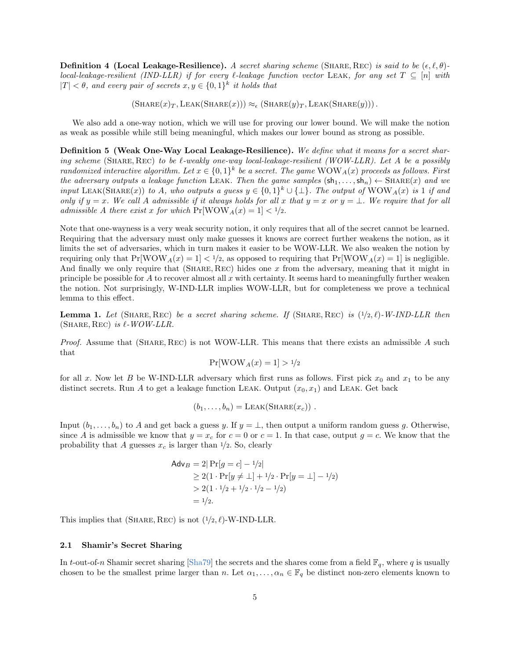**Definition 4 (Local Leakage-Resilience).** A secret sharing scheme (SHARE, REC) is said to be  $(\epsilon, \ell, \theta)$ local-leakage-resilient (IND-LLR) if for every  $\ell$ -leakage function vector LEAK, for any set  $T \subseteq [n]$  with  $|T| < \theta$ , and every pair of secrets  $x, y \in \{0, 1\}^k$  it holds that

 $(SHARE(x)_T, LEAK(SHARE(x))) \approx_{\epsilon} (SHARE(y)_T, LEAK(SHARE(y))).$ 

We also add a one-way notion, which we will use for proving our lower bound. We will make the notion as weak as possible while still being meaningful, which makes our lower bound as strong as possible.

Definition 5 (Weak One-Way Local Leakage-Resilience). We define what it means for a secret sharing scheme (SHARE, REC) to be  $\ell$ -weakly one-way local-leakage-resilient (WOW-LLR). Let A be a possibly randomized interactive algorithm. Let  $x \in \{0,1\}^k$  be a secret. The game  $\text{WOW}_A(x)$  proceeds as follows. First the adversary outputs a leakage function LEAK. Then the game samples  $(\mathsf{sh}_1, \ldots, \mathsf{sh}_n) \leftarrow \text{SHARE}(x)$  and we input LEAK(SHARE(x)) to A, who outputs a guess  $y \in \{0,1\}^k \cup \{\perp\}$ . The output of  $\text{WOW}_A(x)$  is 1 if and only if  $y = x$ . We call A admissible if it always holds for all x that  $y = x$  or  $y = \bot$ . We require that for all admissible A there exist x for which  $Pr[WWW_A(x) = 1] < 1/2$ .

Note that one-wayness is a very weak security notion, it only requires that all of the secret cannot be learned. Requiring that the adversary must only make guesses it knows are correct further weakens the notion, as it limits the set of adversaries, which in turn makes it easier to be WOW-LLR. We also weaken the notion by requiring only that  $Pr[WWW_A(x) = 1] < 1/2$ , as opposed to requiring that  $Pr[WWW_A(x) = 1]$  is negligible. And finally we only require that  $(SHARE, REC)$  hides one x from the adversary, meaning that it might in principle be possible for  $A$  to recover almost all  $x$  with certainty. It seems hard to meaningfully further weaken the notion. Not surprisingly, W-IND-LLR implies WOW-LLR, but for completeness we prove a technical lemma to this effect.

**Lemma 1.** Let (SHARE, REC) be a secret sharing scheme. If (SHARE, REC) is  $(1/2, \ell)$ -W-IND-LLR then (SHARE, REC) is  $\ell$ -WOW-LLR.

*Proof.* Assume that (SHARE, REC) is not WOW-LLR. This means that there exists an admissible A such that

$$
\Pr[\text{WOW}_A(x) = 1] > \frac{1}{2}
$$

for all x. Now let B be W-IND-LLR adversary which first runs as follows. First pick  $x_0$  and  $x_1$  to be any distinct secrets. Run A to get a leakage function LEAK. Output  $(x_0, x_1)$  and LEAK. Get back

$$
(b_1,\ldots,b_n)=\text{LEAK}(\text{SHARE}(x_c))\ .
$$

Input  $(b_1, \ldots, b_n)$  to A and get back a guess y. If  $y = \perp$ , then output a uniform random guess g. Otherwise, since A is admissible we know that  $y = x_c$  for  $c = 0$  or  $c = 1$ . In that case, output  $g = c$ . We know that the probability that A guesses  $x_c$  is larger than  $\frac{1}{2}$ . So, clearly

$$
\begin{aligned} \mathsf{Adv}_B &= 2|\Pr[g = c] - \frac{1}{2} \\ &\ge 2(1 \cdot \Pr[y \neq \bot] + \frac{1}{2} \cdot \Pr[y = \bot] - \frac{1}{2}) \\ &> 2(1 \cdot \frac{1}{2} + \frac{1}{2} \cdot \frac{1}{2} - \frac{1}{2}) \\ &= \frac{1}{2}.\end{aligned}
$$

This implies that (SHARE, REC) is not  $(1/2, \ell)$ -W-IND-LLR.

#### 2.1 Shamir's Secret Sharing

In t-out-of-n Shamir secret sharing [\[Sha79\]](#page-16-0) the secrets and the shares come from a field  $\mathbb{F}_q$ , where q is usually chosen to be the smallest prime larger than n. Let  $\alpha_1, \ldots, \alpha_n \in \mathbb{F}_q$  be distinct non-zero elements known to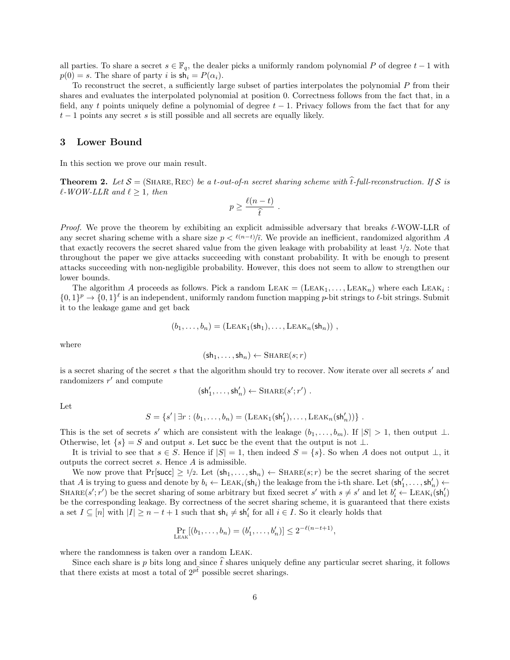all parties. To share a secret  $s \in \mathbb{F}_q$ , the dealer picks a uniformly random polynomial P of degree  $t-1$  with  $p(0) = s$ . The share of party i is  $\mathsf{sh}_i = P(\alpha_i)$ .

To reconstruct the secret, a sufficiently large subset of parties interpolates the polynomial P from their shares and evaluates the interpolated polynomial at position 0. Correctness follows from the fact that, in a field, any t points uniquely define a polynomial of degree  $t - 1$ . Privacy follows from the fact that for any  $t-1$  points any secret s is still possible and all secrets are equally likely.

## <span id="page-5-1"></span>3 Lower Bound

<span id="page-5-0"></span>In this section we prove our main result.

**Theorem 2.** Let  $S = (SHARE, REC)$  be a t-out-of-n secret sharing scheme with  $\hat{t}$ -full-reconstruction. If S is  $\ell$ -WOW-LLR and  $\ell \geq 1$ , then

$$
p \geq \frac{\ell(n-t)}{\widehat{t}} .
$$

*Proof.* We prove the theorem by exhibiting an explicit admissible adversary that breaks  $\ell$ -WOW-LLR of any secret sharing scheme with a share size  $p < \ell(n-t)/\hat{t}$ . We provide an inefficient, randomized algorithm A that exactly recovers the secret shared value from the given leakage with probability at least 1/2. Note that throughout the paper we give attacks succeeding with constant probability. It with be enough to present attacks succeeding with non-negligible probability. However, this does not seem to allow to strengthen our lower bounds.

The algorithm A proceeds as follows. Pick a random  $LEAK = (LEAK_1, \ldots, LEAK_n)$  where each  $LEAK_i$ :  $\{0,1\}^p \to \{0,1\}^{\ell}$  is an independent, uniformly random function mapping p-bit strings to  $\ell$ -bit strings. Submit it to the leakage game and get back

$$
(b_1,\ldots,b_n)=(\text{LEAK}_1(\text{sh}_1),\ldots,\text{LEAK}_n(\text{sh}_n)),
$$

where

$$
(\mathsf{sh}_1,\ldots,\mathsf{sh}_n) \leftarrow \text{SHARE}(s;r)
$$

is a secret sharing of the secret  $s$  that the algorithm should try to recover. Now iterate over all secrets  $s'$  and randomizers  $r'$  and compute

$$
(\mathsf{sh}'_1,\ldots,\mathsf{sh}'_n) \leftarrow \text{SHARE}(s';r')\ .
$$

Let

$$
S = \{s' | \exists r : (b_1, \ldots, b_n) = (\text{LEAK}_1(\text{sh}'_1), \ldots, \text{LEAK}_n(\text{sh}'_n))\}.
$$

This is the set of secrets s' which are consistent with the leakage  $(b_1, \ldots, b_m)$ . If  $|S| > 1$ , then output ⊥. Otherwise, let  $\{s\} = S$  and output s. Let succ be the event that the output is not  $\perp$ .

It is trivial to see that  $s \in S$ . Hence if  $|S| = 1$ , then indeed  $S = \{s\}$ . So when A does not output  $\perp$ , it outputs the correct secret s. Hence A is admissible.

We now prove that  $Pr[\text{succ}] \ge 1/2$ . Let  $(\text{sh}_1, \ldots, \text{sh}_n) \leftarrow \text{SHARE}(s; r)$  be the secret sharing of the secret that A is trying to guess and denote by  $b_i \leftarrow \text{LEAK}_i(\mathsf{sh}_i)$  the leakage from the i-th share. Let  $(\mathsf{sh}'_1, \ldots, \mathsf{sh}'_n) \leftarrow$ SHARE $(s'; r')$  be the secret sharing of some arbitrary but fixed secret s' with  $s \neq s'$  and let  $b'_i \leftarrow \text{LEAK}_i(\text{sh}'_i)$ be the corresponding leakage. By correctness of the secret sharing scheme, it is guaranteed that there exists a set  $I \subseteq [n]$  with  $|I| \geq n - t + 1$  such that  $\mathsf{sh}_i \neq \mathsf{sh}'_i$  for all  $i \in I$ . So it clearly holds that

$$
\Pr_{\text{LEAK}}[(b_1,\ldots,b_n)=(b'_1,\ldots,b'_n)] \leq 2^{-\ell(n-t+1)},
$$

where the randomness is taken over a random Leak.

Since each share is p bits long and since  $\hat{t}$  shares uniquely define any particular secret sharing, it follows that there exists at most a total of  $2^{p\hat{t}}$  possible secret sharings.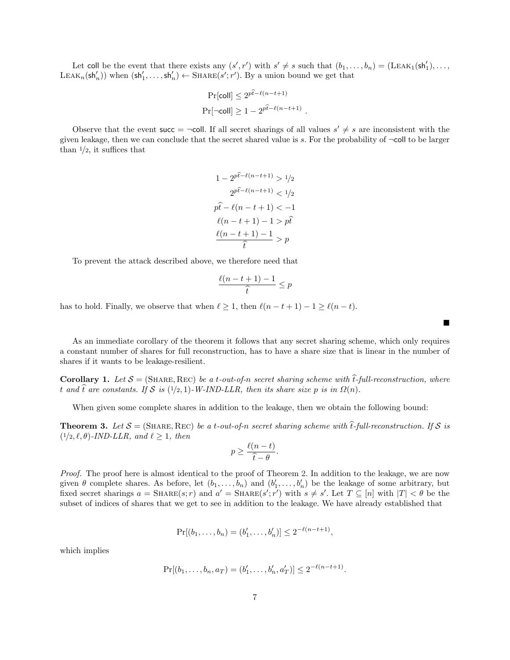Let coll be the event that there exists any  $(s', r')$  with  $s' \neq s$  such that  $(b_1, \ldots, b_n) = (LEAK_1(sh'_1), \ldots,$ LEAK<sub>n</sub>(sh'<sub>n</sub>)) when  $(sh'_1, ..., sh'_n) \leftarrow \text{SHARE}(s'; r')$ . By a union bound we get that

$$
\Pr[\text{coll}] \le 2^{p\hat{t} - \ell(n-t+1)}
$$

$$
\Pr[\neg\text{coll}] \ge 1 - 2^{p\hat{t} - \ell(n-t+1)}.
$$

Observe that the event succ =  $\neg$ coll. If all secret sharings of all values  $s' \neq s$  are inconsistent with the given leakage, then we can conclude that the secret shared value is s. For the probability of ¬coll to be larger than  $\frac{1}{2}$ , it suffices that

$$
1 - 2^{p\hat{t} - \ell(n - t + 1)} > 1/2
$$

$$
2^{p\hat{t} - \ell(n - t + 1)} < 1/2
$$

$$
p\hat{t} - \ell(n - t + 1) < -1
$$

$$
\ell(n - t + 1) - 1 > p\hat{t}
$$

$$
\frac{\ell(n - t + 1) - 1}{\hat{t}} > p
$$

To prevent the attack described above, we therefore need that

$$
\frac{\ell(n-t+1)-1}{\hat{t}} \le p
$$

has to hold. Finally, we observe that when  $\ell \geq 1$ , then  $\ell(n - t + 1) - 1 \geq \ell(n - t)$ .

As an immediate corollary of the theorem it follows that any secret sharing scheme, which only requires a constant number of shares for full reconstruction, has to have a share size that is linear in the number of shares if it wants to be leakage-resilient.

 $\blacksquare$ 

**Corollary 1.** Let  $S = (SHARE, REC)$  be a t-out-of-n secret sharing scheme with  $\hat{t}$ -full-reconstruction, where t and t are constants. If S is  $(1/2, 1)$ -W-IND-LLR, then its share size p is in  $\Omega(n)$ .

When given some complete shares in addition to the leakage, then we obtain the following bound:

**Theorem 3.** Let  $S = (SHARE, REC)$  be a t-out-of-n secret sharing scheme with  $\hat{t}$ -full-reconstruction. If S is  $(1/2, \ell, \theta)$ -IND-LLR, and  $\ell \geq 1$ , then

$$
p \ge \frac{\ell(n-t)}{\widehat{t}-\theta}.
$$

Proof. The proof here is almost identical to the proof of Theorem [2.](#page-5-0) In addition to the leakage, we are now given  $\theta$  complete shares. As before, let  $(b_1, \ldots, b_n)$  and  $(b'_1, \ldots, b'_n)$  be the leakage of some arbitrary, but fixed secret sharings  $a = \text{SHARE}(s; r)$  and  $a' = \text{SHARE}(s'; r')$  with  $s \neq s'$ . Let  $T \subseteq [n]$  with  $|T| < \theta$  be the subset of indices of shares that we get to see in addition to the leakage. We have already established that

$$
Pr[(b_1, ..., b_n) = (b'_1, ..., b'_n)] \le 2^{-\ell(n-t+1)},
$$

which implies

$$
Pr[(b_1, ..., b_n, a_T) = (b'_1, ..., b'_n, a'_T)] \le 2^{-\ell(n-t+1)}
$$

.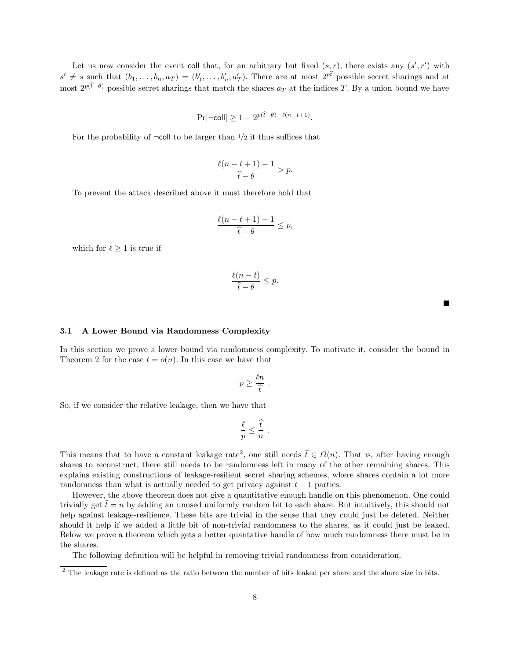Let us now consider the event coll that, for an arbitrary but fixed  $(s, r)$ , there exists any  $(s', r')$  with  $s' \neq s$  such that  $(b_1, \ldots, b_n, a_T) = (b'_1, \ldots, b'_n, a'_T)$ . There are at most  $2^{p\hat{t}}$  possible secret sharings and at most  $2^{p(\hat{t}-\theta)}$  possible secret sharings that match the shares  $a_T$  at the indices T. By a union bound we have

$$
\Pr[\neg\text{coll}] \ge 1 - 2^{p(\hat{t} - \theta) - \ell(n - t + 1)}.
$$

For the probability of  $\neg$ coll to be larger than  $1/2$  it thus suffices that

$$
\frac{\ell(n-t+1)-1}{\hat{t}-\theta} > p.
$$

To prevent the attack described above it must therefore hold that

$$
\frac{\ell(n-t+1)-1}{\hat{t}-\theta}\leq p,
$$

which for  $\ell > 1$  is true if

$$
\frac{\ell(n-t)}{\widehat{t}-\theta} \le p.
$$

 $\blacksquare$ 

#### <span id="page-7-0"></span>3.1 A Lower Bound via Randomness Complexity

In this section we prove a lower bound via randomness complexity. To motivate it, consider the bound in Theorem [2](#page-5-0) for the case  $t = o(n)$ . In this case we have that

$$
p \geq \frac{\ell n}{\widehat{t}} \; .
$$

So, if we consider the relative leakage, then we have that

$$
\frac{\ell}{p} \leq \frac{\widehat{t}}{n} .
$$

This means that to have a constant leakage rate<sup>[2](#page-7-1)</sup>, one still needs  $\hat{t} \in \Omega(n)$ . That is, after having enough shares to reconstruct, there still needs to be randomness left in many of the other remaining shares. This explains existing constructions of leakage-resilient secret sharing schemes, where shares contain a lot more randomness than what is actually needed to get privacy against  $t - 1$  parties.

However, the above theorem does not give a quantitative enough handle on this phenomenon. One could trivially get  $\hat{t} = n$  by adding an unused uniformly random bit to each share. But intuitively, this should not help against leakage-resilience. These bits are trivial in the sense that they could just be deleted. Neither should it help if we added a little bit of non-trivial randomness to the shares, as it could just be leaked. Below we prove a theorem which gets a better quantative handle of how much randomness there must be in the shares.

The following definition will be helpful in removing trivial randomness from consideration.

<span id="page-7-1"></span> $2$  The leakage rate is defined as the ratio between the number of bits leaked per share and the share size in bits.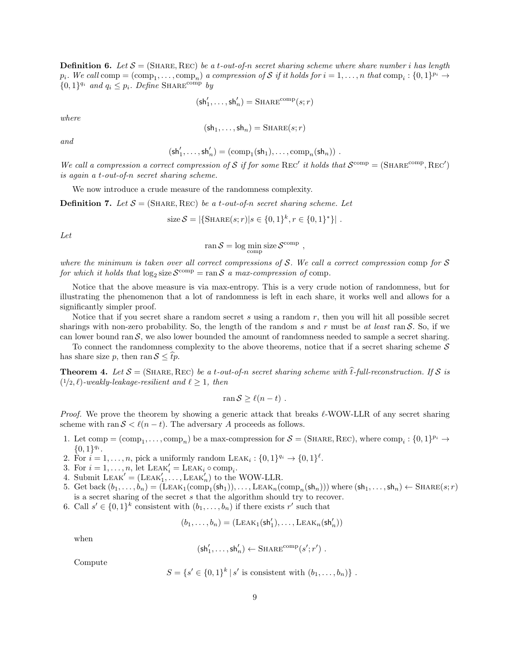**Definition 6.** Let  $S = (SHARE, REC)$  be a t-out-of-n secret sharing scheme where share number i has length  $p_i$ . We call  $\text{comp} = (\text{comp}_1, \dots, \text{comp}_n)$  a compression of S if it holds for  $i = 1, \dots, n$  that  $\text{comp}_i : \{0, 1\}^{p_i} \to$  $\{0,1\}^{q_i}$  and  $q_i \leq p_i$ . Define SHARE<sup>comp</sup> by

$$
(\mathsf{sh}'_1, \ldots, \mathsf{sh}'_n) = \mathsf{SHARE}^\mathrm{comp}(s;r)
$$

where

$$
(\mathsf{sh}_1,\ldots,\mathsf{sh}_n)=\mathrm{SHARE}(s;r)
$$

and

$$
(\mathsf{sh}'_1,\ldots,\mathsf{sh}'_n)=(\mathrm{comp}_1(\mathsf{sh}_1),\ldots,\mathrm{comp}_n(\mathsf{sh}_n))\ .
$$

We call a compression a correct compression of S if for some REC' it holds that  $\mathcal{S}^{\text{comp}} = (\text{SHARE}^{\text{comp}}, \text{REC}')$ is again a t-out-of-n secret sharing scheme.

We now introduce a crude measure of the randomness complexity.

**Definition 7.** Let  $S = (\text{SHARE}, \text{REC})$  be a t-out-of-n secret sharing scheme. Let

size 
$$
S = |\{\text{SHARE}(s; r) | s \in \{0, 1\}^k, r \in \{0, 1\}^*\}|
$$
.

Let

$$
ran S = log min_{comp} size S^{comp} ,
$$

where the minimum is taken over all correct compressions of  $S$ . We call a correct compression comp for  $S$ for which it holds that  $\log_2$  size  $\mathcal{S}^{\text{comp}} = \text{ran } \mathcal{S}$  a max-compression of comp.

Notice that the above measure is via max-entropy. This is a very crude notion of randomness, but for illustrating the phenomenon that a lot of randomness is left in each share, it works well and allows for a significantly simpler proof.

Notice that if you secret share a random secret s using a random  $r$ , then you will hit all possible secret sharings with non-zero probability. So, the length of the random s and r must be at least ran  $S$ . So, if we can lower bound ran  $S$ , we also lower bounded the amount of randomness needed to sample a secret sharing.

To connect the randomness complexity to the above theorems, notice that if a secret sharing scheme  $S$ has share size p, then ran  $S \leq \hat{t}p$ .

**Theorem 4.** Let  $S = (\text{SHARE}, \text{Rec})$  be a t-out-of-n secret sharing scheme with  $\hat{t}$ -full-reconstruction. If S is  $(1/2, \ell)$ -weakly-leakage-resilient and  $\ell \geq 1$ , then

$$
\operatorname{ran} S \ge \ell(n-t) \; .
$$

*Proof.* We prove the theorem by showing a generic attack that breaks  $\ell$ -WOW-LLR of any secret sharing scheme with ran  $S < l(n - t)$ . The adversary A proceeds as follows.

- 1. Let comp =  $(\text{comp}_1, \ldots, \text{comp}_n)$  be a max-compression for  $S = (\text{SHARE}, \text{Rec})$ , where  $\text{comp}_i : \{0, 1\}^{p_i} \to$  ${0,1}^{q_i}.$
- 2. For  $i = 1, ..., n$ , pick a uniformly random LEAK<sub>i</sub>:  $\{0, 1\}^{q_i} \rightarrow \{0, 1\}^{\ell}$ .
- 3. For  $i = 1, ..., n$ , let  $\text{LEAK}'_i = \text{LEAK}_i \circ \text{comp}_i$ .
- 4. Submit  $\text{LEAK}' = (\text{LEAK}'_1, \ldots, \text{LEAK}'_n)$  to the WOW-LLR.
- 5. Get back  $(b_1, \ldots, b_n) = (\text{LEAK}_1(\text{comp}_1(\text{sh}_1)), \ldots, \text{LEAK}_n(\text{comp}_n(\text{sh}_n)))$  where  $(\text{sh}_1, \ldots, \text{sh}_n) \leftarrow \text{SHARE}(s; r)$ is a secret sharing of the secret s that the algorithm should try to recover.
- 6. Call  $s' \in \{0,1\}^k$  consistent with  $(b_1,\ldots,b_n)$  if there exists r' such that

$$
(b_1,\ldots,b_n)=(\text{LEAK}_1(\text{sh}'_1),\ldots,\text{LEAK}_n(\text{sh}'_n))
$$

when

$$
({\sf sh}'_1,\ldots,{\sf sh}'_n) \leftarrow {\sf SHARE}^{\rm comp}(s';r')\;.
$$

Compute

 $S = \{s' \in \{0,1\}^k \mid s' \text{ is consistent with } (b_1,\ldots,b_n)\}\.$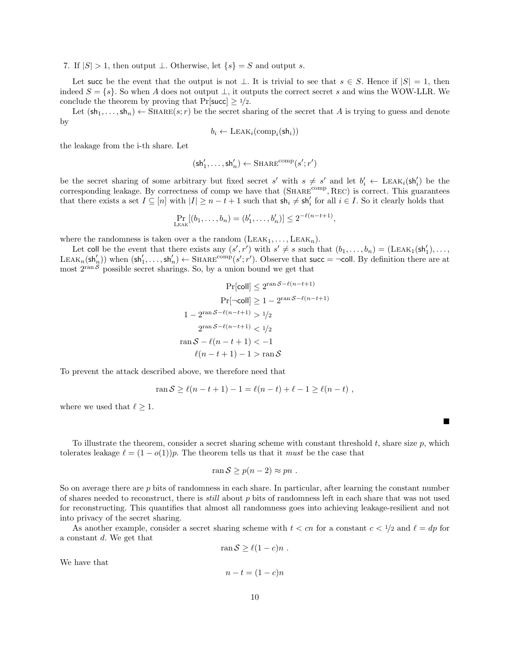7. If  $|S| > 1$ , then output  $\perp$ . Otherwise, let  $\{s\} = S$  and output s.

Let succ be the event that the output is not  $\bot$ . It is trivial to see that  $s \in S$ . Hence if  $|S| = 1$ , then indeed  $S = \{s\}$ . So when A does not output  $\perp$ , it outputs the correct secret s and wins the WOW-LLR. We conclude the theorem by proving that  $Pr[\text{succ}] \ge 1/2$ .

Let  $(\text{sh}_1, \ldots, \text{sh}_n) \leftarrow \text{SHARE}(s; r)$  be the secret sharing of the secret that A is trying to guess and denote by

$$
b_i \leftarrow \text{LEAK}_i(\text{comp}_i(\text{sh}_i))
$$

the leakage from the i-th share. Let

$$
(\mathsf{sh}'_1, \ldots, \mathsf{sh}'_n) \gets \mathrm{SHARE}^{\mathrm{comp}}(s'; r')
$$

be the secret sharing of some arbitrary but fixed secret s' with  $s \neq s'$  and let  $b'_i \leftarrow \text{LEAK}_i(\text{sh}'_i)$  be the corresponding leakage. By correctness of comp we have that (SHARE<sup>comp</sup>, REC) is correct. This guarantees that there exists a set  $I \subseteq [n]$  with  $|I| \geq n-t+1$  such that  $\mathsf{sh}_i \neq \mathsf{sh}'_i$  for all  $i \in I$ . So it clearly holds that

$$
\Pr_{\text{LEAK}}[(b_1,\ldots,b_n)=(b'_1,\ldots,b'_n)] \leq 2^{-\ell(n-t+1)},
$$

where the randomness is taken over a the random  $(LEAK_1, \ldots, LEAK_n)$ .

Let coll be the event that there exists any  $(s', r')$  with  $s' \neq s$  such that  $(b_1, \ldots, b_n) = (LEAK_1(sh'_1), \ldots,$ LEAK<sub>n</sub>(sh'<sub>n</sub>)) when  $(sh'_1, ..., sh'_n) \leftarrow \text{SHARE}^{\text{comp}}(s'; r')$ . Observe that succ =  $\neg$ coll. By definition there are at most  $2^{\text{ran }\tilde{\mathcal{S}}}$  possible secret sharings. So, by a union bound we get that

$$
\Pr[\text{coll}] \le 2^{\text{ran } S - \ell(n - t + 1)}
$$
\n
$$
\Pr[\neg \text{coll}] \ge 1 - 2^{\text{ran } S - \ell(n - t + 1)}
$$
\n
$$
1 - 2^{\text{ran } S - \ell(n - t + 1)} > 1/2
$$
\n
$$
2^{\text{ran } S - \ell(n - t + 1)} < 1/2
$$
\n
$$
\text{ran } S - \ell(n - t + 1) < -1
$$
\n
$$
\ell(n - t + 1) - 1 > \text{ran } S
$$

To prevent the attack described above, we therefore need that

$$
\operatorname{ran} S \ge \ell(n - t + 1) - 1 = \ell(n - t) + \ell - 1 \ge \ell(n - t) ,
$$

where we used that  $\ell \geq 1$ .

To illustrate the theorem, consider a secret sharing scheme with constant threshold  $t$ , share size  $p$ , which tolerates leakage  $\ell = (1 - o(1))p$ . The theorem tells us that it *must* be the case that

$$
\operatorname{ran} S \ge p(n-2) \approx pn .
$$

So on average there are p bits of randomness in each share. In particular, after learning the constant number of shares needed to reconstruct, there is *still* about  $p$  bits of randomness left in each share that was not used for reconstructing. This quantifies that almost all randomness goes into achieving leakage-resilient and not into privacy of the secret sharing.

As another example, consider a secret sharing scheme with  $t < cn$  for a constant  $c < 1/2$  and  $\ell = dp$  for a constant d. We get that

ran  $S > \ell(1 - c)n$ .

 $n - t = (1 - c)n$ 

We have that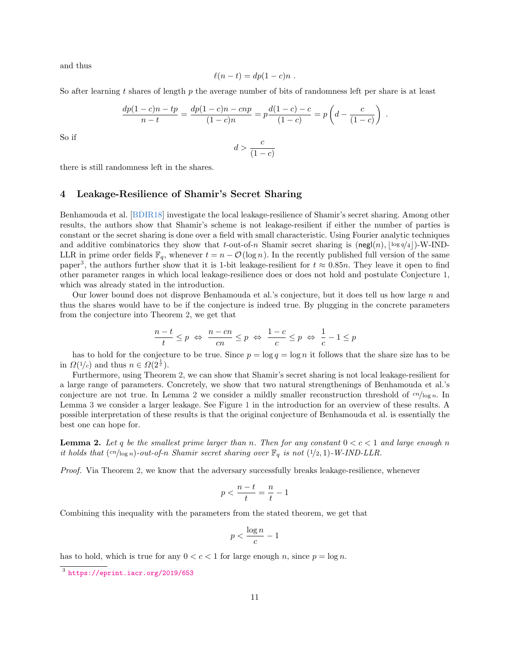and thus

$$
\ell(n-t) = dp(1-c)n .
$$

So after learning t shares of length  $p$  the average number of bits of randomness left per share is at least

$$
\frac{dp(1-c)n - tp}{n-t} = \frac{dp(1-c)n - cnp}{(1-c)n} = p\frac{d(1-c) - c}{(1-c)} = p\left(d - \frac{c}{(1-c)}\right)
$$

.

So if

$$
d > \frac{c}{(1-c)}
$$

there is still randomness left in the shares.

## 4 Leakage-Resilience of Shamir's Secret Sharing

Benhamouda et al. [\[BDIR18\]](#page-15-10) investigate the local leakage-resilience of Shamir's secret sharing. Among other results, the authors show that Shamir's scheme is not leakage-resilient if either the number of parties is constant or the secret sharing is done over a field with small characteristic. Using Fourier analytic techniques and additive combinatorics they show that t-out-of-n Shamir secret sharing is  $(neg(n), \log q/4)$ -W-IND-LLR in prime order fields  $\mathbb{F}_q$ , whenever  $t = n - \mathcal{O}(\log n)$ . In the recently published full version of the same paper<sup>[3](#page-10-0)</sup>, the authors further show that it is 1-bit leakage-resilient for  $t \approx 0.85n$ . They leave it open to find other parameter ranges in which local leakage-resilience does or does not hold and postulate Conjecture [1,](#page-2-1) which was already stated in the introduction.

Our lower bound does not disprove Benhamouda et al.'s conjecture, but it does tell us how large n and thus the shares would have to be if the conjecture is indeed true. By plugging in the concrete parameters from the conjecture into Theorem [2,](#page-5-0) we get that

$$
\frac{n-t}{t} \le p \iff \frac{n-cn}{cn} \le p \iff \frac{1-c}{c} \le p \iff \frac{1}{c} - 1 \le p
$$

has to hold for the conjecture to be true. Since  $p = \log q = \log n$  it follows that the share size has to be in  $\Omega(1/c)$  and thus  $n \in \Omega(2^{\frac{1}{c}})$ .

Furthermore, using Theorem [2,](#page-5-0) we can show that Shamir's secret sharing is not local leakage-resilient for a large range of parameters. Concretely, we show that two natural strengthenings of Benhamouda et al.'s conjecture are not true. In Lemma [2](#page-10-1) we consider a mildly smaller reconstruction threshold of  $cn/\log n$ . In Lemma [3](#page-11-0) we consider a larger leakage. See Figure [1](#page-2-0) in the introduction for an overview of these results. A possible interpretation of these results is that the original conjecture of Benhamouda et al. is essentially the best one can hope for.

<span id="page-10-1"></span>**Lemma 2.** Let q be the smallest prime larger than n. Then for any constant  $0 < c < 1$  and large enough n it holds that  $\left(\frac{cn}{\log n}\right)$ -out-of-n Shamir secret sharing over  $\mathbb{F}_q$  is not  $(1/2, 1)$ -W-IND-LLR.

Proof. Via Theorem [2,](#page-5-0) we know that the adversary successfully breaks leakage-resilience, whenever

$$
p<\frac{n-t}{t}=\frac{n}{t}-1
$$

Combining this inequality with the parameters from the stated theorem, we get that

$$
p < \frac{\log n}{c} - 1
$$

has to hold, which is true for any  $0 < c < 1$  for large enough n, since  $p = \log n$ .

<span id="page-10-0"></span><sup>3</sup> <https://eprint.iacr.org/2019/653>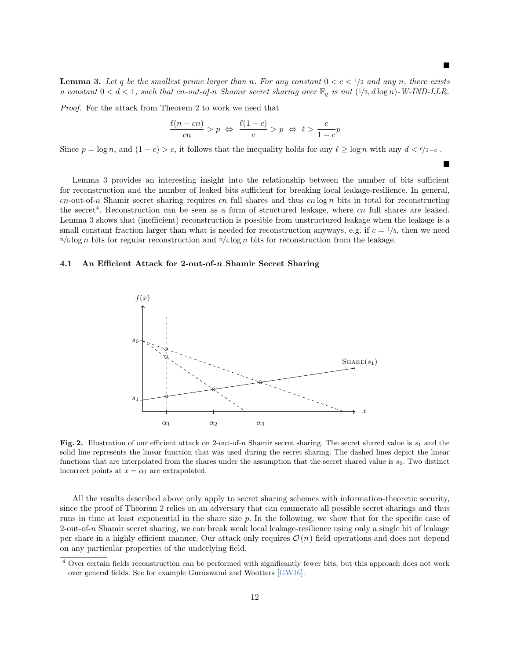$\blacksquare$ 

<span id="page-11-0"></span>**Lemma 3.** Let q be the smallest prime larger than n. For any constant  $0 < c < 1/2$  and any n, there exists a constant  $0 < d < 1$ , such that cn-out-of-n Shamir secret sharing over  $\mathbb{F}_q$  is not  $(1/2, d \log n)$ -W-IND-LLR.

Proof. For the attack from Theorem [2](#page-5-0) to work we need that

$$
\frac{\ell(n-cn)}{cn} > p \iff \frac{\ell(1-c)}{c} > p \iff \ell > \frac{c}{1-c}p
$$

Since  $p = \log n$ , and  $(1 - c) > c$ , it follows that the inequality holds for any  $\ell \ge \log n$  with any  $d < \ell/1-c$ .

Lemma [3](#page-11-0) provides an interesting insight into the relationship between the number of bits sufficient for reconstruction and the number of leaked bits sufficient for breaking local leakage-resilience. In general, cn-out-of-n Shamir secret sharing requires cn full shares and thus cn  $\log n$  bits in total for reconstructing the secret<sup>[4](#page-11-1)</sup>. Reconstruction can be seen as a form of structured leakage, where *cn* full shares are leaked. Lemma [3](#page-11-0) shows that (inefficient) reconstruction is possible from unstructured leakage when the leakage is a small constant fraction larger than what is needed for reconstruction anyways, e.g. if  $c = \frac{1}{5}$ , then we need  $n/5 \log n$  bits for regular reconstruction and  $n/4 \log n$  bits for reconstruction from the leakage.

#### 4.1 An Efficient Attack for 2-out-of-n Shamir Secret Sharing



<span id="page-11-2"></span>Fig. 2. Illustration of our efficient attack on 2-out-of-n Shamir secret sharing. The secret shared value is  $s_1$  and the solid line represents the linear function that was used during the secret sharing. The dashed lines depict the linear functions that are interpolated from the shares under the assumption that the secret shared value is  $s_0$ . Two distinct incorrect points at  $x = \alpha_1$  are extrapolated.

All the results described above only apply to secret sharing schemes with information-theoretic security, since the proof of Theorem [2](#page-5-0) relies on an adversary that can enumerate all possible secret sharings and thus runs in time at least exponential in the share size p. In the following, we show that for the specific case of 2-out-of-n Shamir secret sharing, we can break weak local leakage-resilience using only a single bit of leakage per share in a highly efficient manner. Our attack only requires  $\mathcal{O}(n)$  field operations and does not depend on any particular properties of the underlying field.

<span id="page-11-1"></span><sup>4</sup> Over certain fields reconstruction can be performed with significantly fewer bits, but this approach does not work over general fields. See for example Guruswami and Wootters [\[GW16\]](#page-16-11).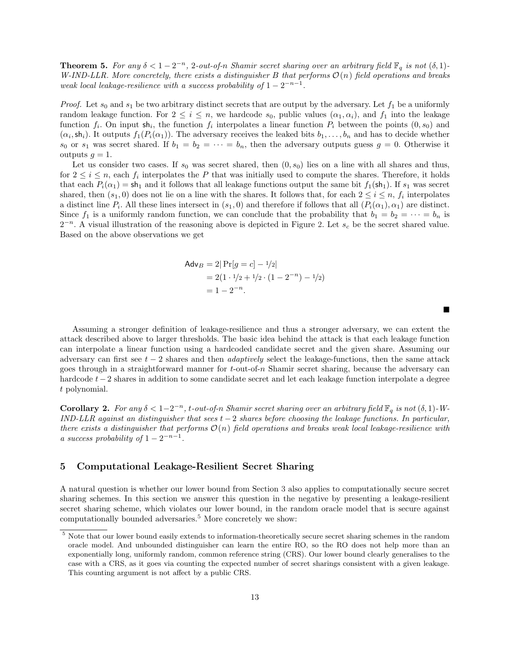**Theorem 5.** For any  $\delta < 1 - 2^{-n}$ , 2-out-of-n Shamir secret sharing over an arbitrary field  $\mathbb{F}_q$  is not  $(\delta, 1)$ -W-IND-LLR. More concretely, there exists a distinguisher B that performs  $\mathcal{O}(n)$  field operations and breaks weak local leakage-resilience with a success probability of  $1 - 2^{-n-1}$ .

*Proof.* Let  $s_0$  and  $s_1$  be two arbitrary distinct secrets that are output by the adversary. Let  $f_1$  be a uniformly random leakage function. For  $2 \le i \le n$ , we hardcode  $s_0$ , public values  $(\alpha_1, \alpha_i)$ , and  $f_1$  into the leakage function  $f_i$ . On input  $\mathsf{sh}_i$ , the function  $f_i$  interpolates a linear function  $P_i$  between the points  $(0, s_0)$  and  $(\alpha_i, \mathsf{sh}_i)$ . It outputs  $f_1(P_i(\alpha_1))$ . The adversary receives the leaked bits  $b_1, \ldots, b_n$  and has to decide whether  $s_0$  or  $s_1$  was secret shared. If  $b_1 = b_2 = \cdots = b_n$ , then the adversary outputs guess  $g = 0$ . Otherwise it outputs  $q = 1$ .

Let us consider two cases. If  $s_0$  was secret shared, then  $(0, s_0)$  lies on a line with all shares and thus, for  $2 \leq i \leq n$ , each  $f_i$  interpolates the P that was initially used to compute the shares. Therefore, it holds that each  $P_i(\alpha_1) = \mathsf{sh}_1$  and it follows that all leakage functions output the same bit  $f_1(\mathsf{sh}_1)$ . If  $s_1$  was secret shared, then  $(s_1, 0)$  does not lie on a line with the shares. It follows that, for each  $2 \le i \le n$ ,  $f_i$  interpolates a distinct line  $P_i$ . All these lines intersect in  $(s_1, 0)$  and therefore if follows that all  $(P_i(\alpha_1), \alpha_1)$  are distinct. Since  $f_1$  is a uniformly random function, we can conclude that the probability that  $b_1 = b_2 = \cdots = b_n$  is  $2^{-n}$ . A visual illustration of the reasoning above is depicted in Figure [2.](#page-11-2) Let  $s_c$  be the secret shared value. Based on the above observations we get

$$
\begin{aligned} \mathsf{Adv}_B &= 2|\Pr[g = c] - \frac{1}{2}| \\ &= 2(1 \cdot \frac{1}{2} + \frac{1}{2} \cdot (1 - 2^{-n}) - \frac{1}{2}) \\ &= 1 - 2^{-n} . \end{aligned}
$$

 $\blacksquare$ 

Assuming a stronger definition of leakage-resilience and thus a stronger adversary, we can extent the attack described above to larger thresholds. The basic idea behind the attack is that each leakage function can interpolate a linear function using a hardcoded candidate secret and the given share. Assuming our adversary can first see  $t - 2$  shares and then *adaptively* select the leakage-functions, then the same attack goes through in a straightforward manner for  $t$ -out-of-n Shamir secret sharing, because the adversary can hardcode t−2 shares in addition to some candidate secret and let each leakage function interpolate a degree t polynomial.

**Corollary 2.** For any  $\delta < 1-2^{-n}$ , t-out-of-n Shamir secret sharing over an arbitrary field  $\mathbb{F}_q$  is not  $(\delta, 1)$ -W-IND-LLR against an distinguisher that sees  $t-2$  shares before choosing the leakage functions. In particular, there exists a distinguisher that performs  $\mathcal{O}(n)$  field operations and breaks weak local leakage-resilience with a success probability of  $1 - 2^{-n-1}$ .

### 5 Computational Leakage-Resilient Secret Sharing

A natural question is whether our lower bound from Section [3](#page-5-1) also applies to computationally secure secret sharing schemes. In this section we answer this question in the negative by presenting a leakage-resilient secret sharing scheme, which violates our lower bound, in the random oracle model that is secure against computationally bounded adversaries.<sup>[5](#page-12-0)</sup> More concretely we show:

<span id="page-12-0"></span> $5$  Note that our lower bound easily extends to information-theoretically secure secret sharing schemes in the random oracle model. And unbounded distinguisher can learn the entire RO, so the RO does not help more than an exponentially long, uniformly random, common reference string (CRS). Our lower bound clearly generalises to the case with a CRS, as it goes via counting the expected number of secret sharings consistent with a given leakage. This counting argument is not affect by a public CRS.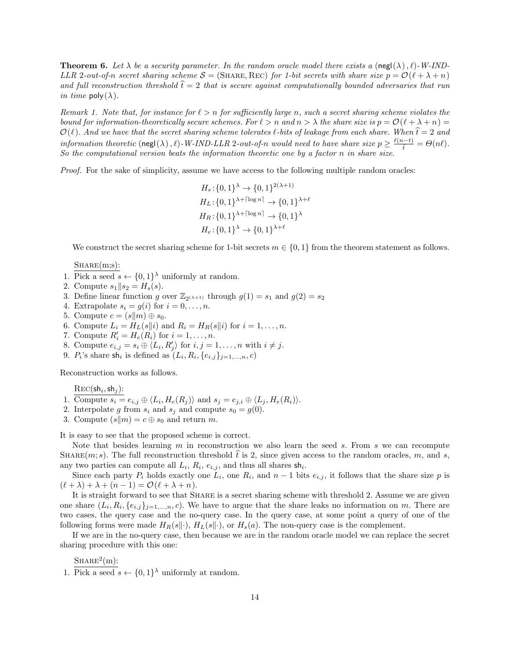**Theorem 6.** Let  $\lambda$  be a security parameter. In the random oracle model there exists a (negl( $\lambda$ ),  $\ell$ )-W-IND-LLR 2-out-of-n secret sharing scheme  $S = (SHARE, Rec)$  for 1-bit secrets with share size  $p = \mathcal{O}(\ell + \lambda + n)$ and full reconstruction threshold  $\dot{t} = 2$  that is secure against computationally bounded adversaries that run in time  $\text{poly}(\lambda)$ .

Remark 1. Note that, for instance for  $\ell > n$  for sufficiently large n, such a secret sharing scheme violates the bound for information-theoretically secure schemes. For  $\ell > n$  and  $n > \lambda$  the share size is  $p = \mathcal{O}(\ell + \lambda + n)$  $\mathcal{O}(\ell)$ . And we have that the secret sharing scheme tolerates  $\ell$ -bits of leakage from each share. When  $\hat{t} = 2$  and information theoretic  $(\text{negl}(\lambda), \ell)$ -W-IND-LLR 2-out-of-n would need to have share size  $p \geq \frac{\ell(n-t)}{\hat{t}} = \Theta(n\ell)$ . So the computational version beats the information theoretic one by a factor n in share size.

*Proof.* For the sake of simplicity, assume we have access to the following multiple random oracles:

$$
H_s: \{0,1\}^{\lambda} \to \{0,1\}^{2(\lambda+1)}
$$
  
\n
$$
H_L: \{0,1\}^{\lambda + \lceil \log n \rceil} \to \{0,1\}^{\lambda+\ell}
$$
  
\n
$$
H_R: \{0,1\}^{\lambda + \lceil \log n \rceil} \to \{0,1\}^{\lambda}
$$
  
\n
$$
H_e: \{0,1\}^{\lambda} \to \{0,1\}^{\lambda+\ell}
$$

We construct the secret sharing scheme for 1-bit secrets  $m \in \{0, 1\}$  from the theorem statement as follows.

 $SHARE(m;s):$ 

- 1. Pick a seed  $s \leftarrow \{0,1\}^{\lambda}$  uniformly at random.
- 2. Compute  $s_1||s_2 = H_s(s)$ .
- 3. Define linear function g over  $\mathbb{Z}_{2^{(\lambda+1)}}$  through  $g(1) = s_1$  and  $g(2) = s_2$
- 4. Extrapolate  $s_i = g(i)$  for  $i = 0, \ldots, n$ .
- 5. Compute  $c = (s||m) \oplus s_0$ .
- 6. Compute  $L_i = H_L(s||i)$  and  $R_i = H_R(s||i)$  for  $i = 1, \ldots, n$ .
- 7. Compute  $R'_i = H_e(R_i)$  for  $i = 1, \ldots, n$ .
- 8. Compute  $e_{i,j} = s_i \oplus \langle L_i, R'_j \rangle$  for  $i, j = 1, \ldots, n$  with  $i \neq j$ .
- 9.  $P_i$ 's share sh<sub>i</sub> is defined as  $(L_i, R_i, \{e_{i,j}\}_{j=1,\ldots,n}, c)$

Reconstruction works as follows.

 $\text{Rec}(\mathsf{sh}_i, \mathsf{sh}_j)$ :

- 1. Compute  $s_i = e_{i,j} \oplus \langle L_i, H_e(R_j) \rangle$  and  $s_j = e_{j,i} \oplus \langle L_j, H_e(R_i) \rangle$ .
- 2. Interpolate g from  $s_i$  and  $s_j$  and compute  $s_0 = g(0)$ .
- 3. Compute  $(s||m) = c \oplus s_0$  and return m.

It is easy to see that the proposed scheme is correct.

Note that besides learning  $m$  in reconstruction we also learn the seed  $s$ . From  $s$  we can recompute SHARE $(m, s)$ . The full reconstruction threshold t is 2, since given access to the random oracles, m, and s, any two parties can compute all  $L_i$ ,  $R_i$ ,  $e_{i,j}$ , and thus all shares  $\mathsf{sh}_i$ .

Since each party  $P_i$  holds exactly one  $L_i$ , one  $R_i$ , and  $n-1$  bits  $e_{i,j}$ , it follows that the share size p is  $(\ell + \lambda) + \lambda + (n - 1) = \mathcal{O}(\ell + \lambda + n).$ 

It is straight forward to see that SHARE is a secret sharing scheme with threshold 2. Assume we are given one share  $(L_i, R_i, \{e_{i,j}\}_{j=1,\dots,n}, c)$ . We have to argue that the share leaks no information on m. There are two cases, the query case and the no-query case. In the query case, at some point a query of one of the following forms were made  $H_R(s\|\cdot)$ ,  $H_L(s\|\cdot)$ , or  $H_s(a)$ . The non-query case is the complement.

If we are in the no-query case, then because we are in the random oracle model we can replace the secret sharing procedure with this one:

 $SHARE<sup>2</sup>(m):$ 

1. Pick a seed  $s \leftarrow \{0,1\}^{\lambda}$  uniformly at random.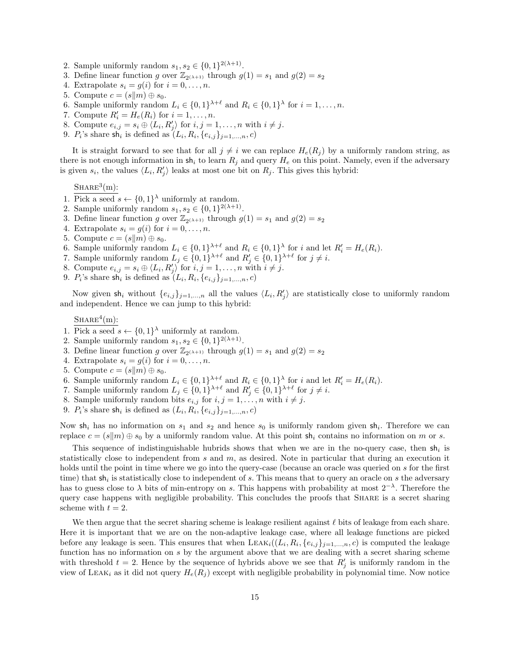- 2. Sample uniformly random  $s_1, s_2 \in \{0, 1\}^{2(\lambda+1)}$ .
- 3. Define linear function g over  $\mathbb{Z}_{2(\lambda+1)}$  through  $g(1) = s_1$  and  $g(2) = s_2$
- 4. Extrapolate  $s_i = g(i)$  for  $i = 0, \ldots, n$ .
- 5. Compute  $c = (s||m) \oplus s_0$ .
- 6. Sample uniformly random  $L_i \in \{0,1\}^{\lambda+\ell}$  and  $R_i \in \{0,1\}^{\lambda}$  for  $i = 1, \ldots, n$ .
- 7. Compute  $R'_i = H_e(R_i)$  for  $i = 1, \ldots, n$ .
- 8. Compute  $e_{i,j} = s_i \oplus \langle L_i, R'_j \rangle$  for  $i, j = 1, \ldots, n$  with  $i \neq j$ .
- 9.  $P_i$ 's share sh<sub>i</sub> is defined as  $(L_i, R_i, \{e_{i,j}\}_{j=1,\ldots,n}, c)$

It is straight forward to see that for all  $j \neq i$  we can replace  $H_e(R_j)$  by a uniformly random string, as there is not enough information in  $\mathsf{sh}_i$  to learn  $R_j$  and query  $H_e$  on this point. Namely, even if the adversary is given  $s_i$ , the values  $\langle L_i, R'_j \rangle$  leaks at most one bit on  $R_j$ . This gives this hybrid:

 $SHARE<sup>3</sup>(m)$ :

- 1. Pick a seed  $s \leftarrow \{0,1\}^{\lambda}$  uniformly at random.
- 2. Sample uniformly random  $s_1, s_2 \in \{0, 1\}^{2(\lambda+1)}$ .
- 3. Define linear function g over  $\mathbb{Z}_{2(\lambda+1)}$  through  $g(1) = s_1$  and  $g(2) = s_2$
- 4. Extrapolate  $s_i = g(i)$  for  $i = 0, \ldots, n$ .
- 5. Compute  $c = (s||m) \oplus s_0$ .
- 6. Sample uniformly random  $L_i \in \{0,1\}^{\lambda+\ell}$  and  $R_i \in \{0,1\}^{\lambda}$  for i and let  $R'_i = H_e(R_i)$ .
- 7. Sample uniformly random  $L_j \in \{0,1\}^{\lambda+\ell}$  and  $R'_j \in \{0,1\}^{\lambda+\ell}$  for  $j \neq i$ .
- 8. Compute  $e_{i,j} = s_i \oplus \langle L_i, R'_j \rangle$  for  $i, j = 1, \ldots, n$  with  $i \neq j$ .
- 9.  $P_i$ 's share sh<sub>i</sub> is defined as  $(L_i, R_i, \{e_{i,j}\}_{j=1,\ldots,n}, c)$

Now given  $\mathsf{sh}_i$  without  $\{e_{i,j}\}_{j=1,\ldots,n}$  all the values  $\langle L_i, R'_j \rangle$  are statistically close to uniformly random and independent. Hence we can jump to this hybrid:

 $SHARE<sup>4</sup>(m):$ 

- 1. Pick a seed  $s \leftarrow \{0,1\}^{\lambda}$  uniformly at random.
- 2. Sample uniformly random  $s_1, s_2 \in \{0, 1\}^{2(\lambda+1)}$ .
- 3. Define linear function g over  $\mathbb{Z}_{2(\lambda+1)}$  through  $g(1) = s_1$  and  $g(2) = s_2$
- 4. Extrapolate  $s_i = g(i)$  for  $i = 0, \ldots, n$ .
- 5. Compute  $c = (s||m) \oplus s_0$ .
- 6. Sample uniformly random  $L_i \in \{0,1\}^{\lambda+\ell}$  and  $R_i \in \{0,1\}^{\lambda}$  for i and let  $R'_i = H_e(R_i)$ .
- 7. Sample uniformly random  $L_j \in \{0,1\}^{\lambda+\ell}$  and  $R'_j \in \{0,1\}^{\lambda+\ell}$  for  $j \neq i$ .
- 8. Sample uniformly random bits  $e_{i,j}$  for  $i, j = 1, \ldots, n$  with  $i \neq j$ .
- 9.  $P_i$ 's share sh<sub>i</sub> is defined as  $(L_i, R_i, \{e_{i,j}\}_{j=1,\ldots,n}, c)$

Now  $sh_i$  has no information on  $s_1$  and  $s_2$  and hence  $s_0$  is uniformly random given  $sh_i$ . Therefore we can replace  $c = (s||m) \oplus s_0$  by a uniformly random value. At this point sh<sub>i</sub> contains no information on m or s.

This sequence of indistinguishable hubrids shows that when we are in the no-query case, then  $\mathsf{sh}_i$  is statistically close to independent from  $s$  and  $m$ , as desired. Note in particular that during an execution it holds until the point in time where we go into the query-case (because an oracle was queried on s for the first time) that  $sh_i$  is statistically close to independent of s. This means that to query an oracle on s the adversary has to guess close to  $\lambda$  bits of min-entropy on s. This happens with probability at most  $2^{-\lambda}$ . Therefore the query case happens with negligible probability. This concludes the proofs that Share is a secret sharing scheme with  $t = 2$ .

We then argue that the secret sharing scheme is leakage resilient against  $\ell$  bits of leakage from each share. Here it is important that we are on the non-adaptive leakage case, where all leakage functions are picked before any leakage is seen. This ensures that when  $LEAK_i((L_i, R_i, \{e_{i,j}\}_{j=1,\ldots,n}, c)$  is computed the leakage function has no information on s by the argument above that we are dealing with a secret sharing scheme with threshold  $t = 2$ . Hence by the sequence of hybrids above we see that  $R'_{j}$  is uniformly random in the view of LEAK<sub>i</sub> as it did not query  $H_e(R_i)$  except with negligible probability in polynomial time. Now notice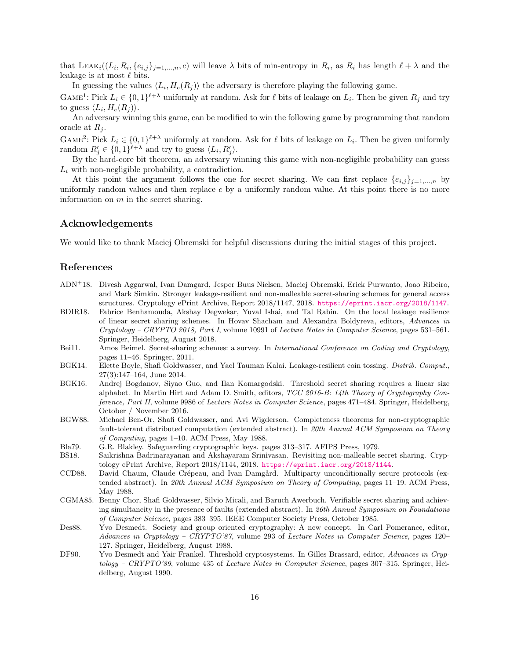that LEAK<sub>i</sub>( $(L_i, R_i, \{e_{i,j}\}_{j=1,\dots,n}, c)$  will leave  $\lambda$  bits of min-entropy in  $R_i$ , as  $R_i$  has length  $\ell + \lambda$  and the leakage is at most  $\ell$  bits.

In guessing the values  $\langle L_i, H_e(R_j) \rangle$  the adversary is therefore playing the following game.

GAME<sup>1</sup>: Pick  $L_i \in \{0,1\}^{\ell+\lambda}$  uniformly at random. Ask for  $\ell$  bits of leakage on  $L_i$ . Then be given  $R_j$  and try to guess  $\langle L_i, H_e(R_j) \rangle$ .

An adversary winning this game, can be modified to win the following game by programming that random oracle at  $R_i$ .

GAME<sup>2</sup>: Pick  $L_i \in \{0,1\}^{\ell+\lambda}$  uniformly at random. Ask for  $\ell$  bits of leakage on  $L_i$ . Then be given uniformly random  $R'_j \in \{0,1\}^{\ell+\lambda}$  and try to guess  $\langle L_i, R'_j \rangle$ .

By the hard-core bit theorem, an adversary winning this game with non-negligible probability can guess  $L_i$  with non-negligible probability, a contradiction.

At this point the argument follows the one for secret sharing. We can first replace  $\{e_{i,j}\}_{j=1,\ldots,n}$  by uniformly random values and then replace  $c$  by a uniformly random value. At this point there is no more information on  $m$  in the secret sharing.

## Acknowledgements

We would like to thank Maciej Obremski for helpful discussions during the initial stages of this project.

## References

<span id="page-15-7"></span>

|         | ADN <sup>+</sup> 18. Divesh Aggarwal, Ivan Damgard, Jesper Buus Nielsen, Maciej Obremski, Erick Purwanto, Joao Ribeiro, |
|---------|-------------------------------------------------------------------------------------------------------------------------|
|         | and Mark Simkin. Stronger leakage-resilient and non-malleable secret-sharing schemes for general access                 |
|         | structures. Cryptology ePrint Archive, Report 2018/1147, 2018. https://eprint.iacr.org/2018/1147.                       |
| BDIR18. | Fabrice Benhamouda, Akshay Degwekar, Yuval Ishai, and Tal Rabin. On the local leakage resilience                        |

- <span id="page-15-10"></span>of linear secret sharing schemes. In Hovav Shacham and Alexandra Boldyreva, editors, Advances in Cryptology – CRYPTO 2018, Part I, volume 10991 of Lecture Notes in Computer Science, pages 531–561. Springer, Heidelberg, August 2018.
- <span id="page-15-11"></span>Bei11. Amos Beimel. Secret-sharing schemes: a survey. In International Conference on Coding and Cryptology, pages 11–46. Springer, 2011.
- <span id="page-15-6"></span>BGK14. Elette Boyle, Shafi Goldwasser, and Yael Tauman Kalai. Leakage-resilient coin tossing. Distrib. Comput., 27(3):147–164, June 2014.
- <span id="page-15-9"></span>BGK16. Andrej Bogdanov, Siyao Guo, and Ilan Komargodski. Threshold secret sharing requires a linear size alphabet. In Martin Hirt and Adam D. Smith, editors, TCC 2016-B: 14th Theory of Cryptography Conference, Part II, volume 9986 of Lecture Notes in Computer Science, pages 471–484. Springer, Heidelberg, October / November 2016.
- <span id="page-15-1"></span>BGW88. Michael Ben-Or, Shafi Goldwasser, and Avi Wigderson. Completeness theorems for non-cryptographic fault-tolerant distributed computation (extended abstract). In 20th Annual ACM Symposium on Theory of Computing, pages 1–10. ACM Press, May 1988.
- <span id="page-15-0"></span>Bla79. G.R. Blakley. Safeguarding cryptographic keys. pages 313–317. AFIPS Press, 1979.
- <span id="page-15-8"></span>BS18. Saikrishna Badrinarayanan and Akshayaram Srinivasan. Revisiting non-malleable secret sharing. Cryptology ePrint Archive, Report 2018/1144, 2018. <https://eprint.iacr.org/2018/1144>.
- <span id="page-15-2"></span>CCD88. David Chaum, Claude Crépeau, and Ivan Damgård. Multiparty unconditionally secure protocols (extended abstract). In 20th Annual ACM Symposium on Theory of Computing, pages 11–19. ACM Press, May 1988.
- <span id="page-15-5"></span>CGMA85. Benny Chor, Shafi Goldwasser, Silvio Micali, and Baruch Awerbuch. Verifiable secret sharing and achieving simultaneity in the presence of faults (extended abstract). In 26th Annual Symposium on Foundations of Computer Science, pages 383–395. IEEE Computer Society Press, October 1985.
- <span id="page-15-3"></span>Des88. Yvo Desmedt. Society and group oriented cryptography: A new concept. In Carl Pomerance, editor, Advances in Cryptology – CRYPTO'87, volume 293 of Lecture Notes in Computer Science, pages 120– 127. Springer, Heidelberg, August 1988.
- <span id="page-15-4"></span>DF90. Yvo Desmedt and Yair Frankel. Threshold cryptosystems. In Gilles Brassard, editor, Advances in Cryptology – CRYPTO'89, volume 435 of Lecture Notes in Computer Science, pages 307-315. Springer, Heidelberg, August 1990.